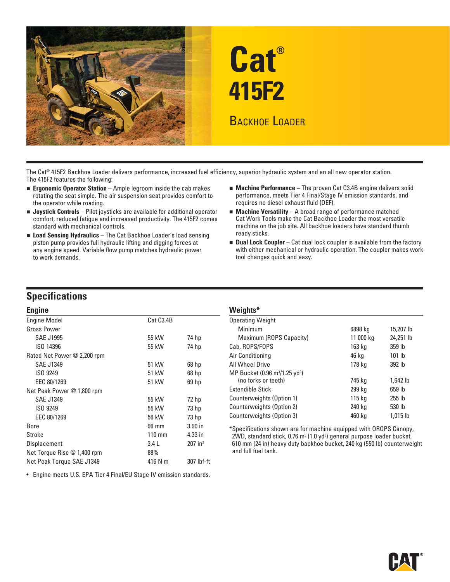



The Cat® 415F2 Backhoe Loader delivers performance, increased fuel efficiency, superior hydraulic system and an all new operator station. The 415F2 features the following:

- rotating the seat simple. The air suspension seat provides comfort to the operator while roading. The operator while roading. The operator while roading.
- **Joystick Controls** Pilot joysticks are available for additional operator **Machine Versatility** A broad range of performance matched comfort, reduced fatigue and increased productivity. The 415F2 comes Cat Work Tools m comfort, reduced fatigue and increased productivity. The 415F2 comes Cat Work Tools make the Cat Backhoe Loader the most versatile<br>standard with mechanical controls. example in the integral on the integral of the integral
- **Load Sensing Hydraulics** The Cat Backhoe Loader's load sensing **Example 19 ready sticks.**<br>piston pump provides full hydraulic lifting and digging forces at **Illy and Lock Community** to work demands. tool changes quick and easy.
- **Ergonomic Operator Station** Ample legroom inside the cab makes **and machine Performance** The proven Cat C3.4B engine delivers solid **and the case of the case of the case of the case of the case of the case of the case** 
	- machine on the job site. All backhoe loaders have standard thumb
	- **Pighthaulic Dual Lock Coupler** Cat dual lock coupler is available from the factory any engine speed. Variable flow pump matches hydraulic power with either mechanical or hydraulic operation. The coupler makes work

# **Specifications**

| <b>Engine</b>               |                  |                       | Weights*                                                                                          |           |            |
|-----------------------------|------------------|-----------------------|---------------------------------------------------------------------------------------------------|-----------|------------|
| <b>Engine Model</b>         | Cat C3.4B        |                       | <b>Operating Weight</b>                                                                           |           |            |
| <b>Gross Power</b>          |                  |                       | <b>Minimum</b>                                                                                    | 6898 kg   | 15,207 lb  |
| <b>SAE J1995</b>            | 55 kW            | 74 hp                 | Maximum (ROPS Capacity)                                                                           | 11 000 kg | 24,251 lb  |
| ISO 14396                   | 55 kW            | 74 hp                 | Cab, ROPS/FOPS                                                                                    | 163 kg    | 359 lb     |
| Rated Net Power @ 2,200 rpm |                  |                       | Air Conditioning                                                                                  | 46 kg     | $101$ lb   |
| <b>SAE J1349</b>            | 51 kW            | 68 <sub>hp</sub>      | All Wheel Drive                                                                                   | 178 kg    | 392 lb     |
| ISO 9249                    | 51 kW            | 68 <sub>hp</sub>      | MP Bucket (0.96 m <sup>3</sup> /1.25 yd <sup>3</sup> )                                            |           |            |
| EEC 80/1269                 | 51 kW            | 69 <sub>hp</sub>      | (no forks or teeth)                                                                               | 745 kg    | 1,642 lb   |
| Net Peak Power @ 1,800 rpm  |                  |                       | <b>Extendible Stick</b>                                                                           | 299 kg    | 659 lb     |
| <b>SAE J1349</b>            | 55 kW            | 72 hp                 | Counterweights (Option 1)                                                                         | 115 kg    | $255$ $lb$ |
| ISO 9249                    | 55 kW            | 73 <sub>hp</sub>      | Counterweights (Option 2)                                                                         | 240 kg    | 530 lb     |
| EEC 80/1269                 | 56 kW            | 73 <sub>hp</sub>      | Counterweights (Option 3)                                                                         | 460 kg    | $1,015$ lb |
| Bore                        | 99 mm            | $3.90$ in             | *Specifications shown are for machine equipped with OROPS Canopy,                                 |           |            |
| Stroke                      | $110 \text{ mm}$ | 4.33 in               | $2WD$ , standard stick, 0.76 m <sup>3</sup> (1.0 yd <sup>3</sup> ) general purpose loader bucket, |           |            |
| Displacement                | 3.4L             | $207$ in <sup>3</sup> | 610 mm (24 in) heavy duty backhoe bucket, 240 kg (550 lb) counterwei                              |           |            |
| Net Torque Rise @ 1,400 rpm | 88%              |                       | and full fuel tank.                                                                               |           |            |
| Net Peak Torque SAE J1349   | 416 $N \cdot m$  | 307 lbf-ft            |                                                                                                   |           |            |

• Engine meets U.S. EPA Tier 4 Final/EU Stage IV emission standards.

#### Weiahts\*

| g                        |           |                  | . <u>.</u>                                             |           |                     |
|--------------------------|-----------|------------------|--------------------------------------------------------|-----------|---------------------|
| ine Model                | Cat C3.4B |                  | <b>Operating Weight</b>                                |           |                     |
| ss Power                 |           |                  | Minimum                                                | 6898 kg   | 15,207 lb           |
| <b>SAE J1995</b>         | 55 kW     | 74 hp            | Maximum (ROPS Capacity)                                | 11 000 kg | 24,251 lb           |
| ISO 14396                | 55 kW     | 74 hp            | Cab, ROPS/FOPS                                         | 163 kg    | 359 lb              |
| ed Net Power @ 2,200 rpm |           |                  | Air Conditioning                                       | 46 ka     | $101$ lb            |
| SAE J1349                | 51 kW     | 68 <sub>hp</sub> | All Wheel Drive                                        | 178 kg    | 392 lb              |
| ISO 9249                 | 51 kW     | 68 hp            | MP Bucket (0.96 m <sup>3</sup> /1.25 yd <sup>3</sup> ) |           |                     |
| EEC 80/1269              | 51 kW     | 69 hp            | (no forks or teeth)                                    | 745 kg    | 1,642 lb            |
| : Peak Power @ 1,800 rpm |           |                  | Extendible Stick                                       | 299 kg    | 659 lb              |
| SAE J1349                | 55 kW     | 72 <sub>hp</sub> | Counterweights (Option 1)                              | 115 kg    | $255$ $\mathsf{lb}$ |
| ISO 9249                 | 55 kW     | 73 <sub>hp</sub> | Counterweights (Option 2)                              | 240 kg    | 530 lb              |
| EEC 80/1269              | 56 kW     | 73 hp            | Counterweights (Option 3)                              | 460 kg    | 1,015 lb            |

\*Specifications shown are for machine equipped with OROPS Canopy, (1.0 yd3 ) general purpose loader bucket, 610 mm (24 in) heavy duty backhoe bucket, 240 kg (550 lb) counterweight and full fuel tank.

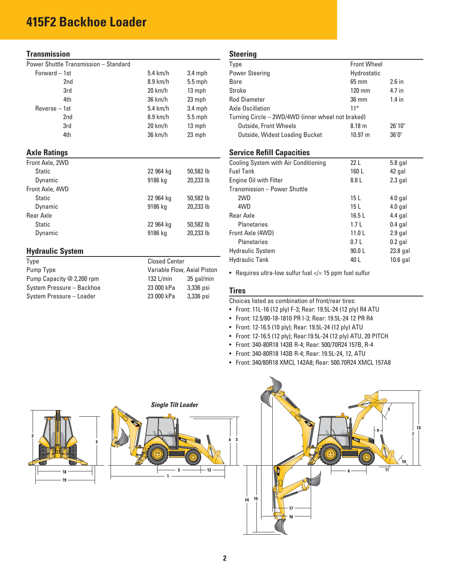# **415F2 Backhoe Loader**

#### **Transmission**

| Forward - 1st       | $5.4$ km/h        | $3.4$ mph |
|---------------------|-------------------|-----------|
| 2nd                 | $8.9$ km/h        | $5.5$ mph |
| 3rd                 | $20 \text{ km/h}$ | 13 mph    |
| 4th                 | 36 km/h           | 23 mph    |
| Reverse - 1st       | $5.4$ km/h        | $3.4$ mph |
| 2 <sub>nd</sub>     | $8.9$ km/h        | $5.5$ mph |
| 3rd                 | $20 \text{ km/h}$ | 13 mph    |
| 4th                 | 36 km/h           | 23 mph    |
| <b>Axle Ratings</b> |                   |           |
| Front Axle, 2WD     |                   |           |
| Static              | 22 964 kg         | 50,582 lb |

| Dynamic         | 9186 kg   | 20,233 lb |
|-----------------|-----------|-----------|
| Front Axle, 4WD |           |           |
| <b>Static</b>   | 22 964 kg | 50,582 lb |
| Dynamic         | 9186 kg   | 20,233 lb |
| Rear Axle       |           |           |
| <b>Static</b>   | 22 964 kg | 50,582 lb |
| Dynamic         | 9186 kg   | 20,233 lb |

#### **Hydraulic System**

| Type                      | <b>Closed Center</b>        |            |
|---------------------------|-----------------------------|------------|
| Pump Type                 | Variable Flow, Axial Piston |            |
| Pump Capacity @ 2,200 rpm | 132 $L/min$                 | 35 gal/min |
| System Pressure - Backhoe | 23 000 kPa                  | 3,336 psi  |
| System Pressure - Loader  | 23 000 kPa                  | 3,336 psi  |

#### **Steering**

| Type                                              | <b>Front Wheel</b>    |          |
|---------------------------------------------------|-----------------------|----------|
| <b>Power Steering</b>                             | Hydrostatic           |          |
| <b>Bore</b>                                       | $65 \text{ mm}$       | $2.6$ in |
| Stroke                                            | $120 \text{ mm}$      | 4.7 in   |
| <b>Rod Diameter</b>                               | $36 \text{ mm}$       | $1.4$ in |
| Axle Oscillation                                  | $11^{\circ}$          |          |
| Turning Circle - 2WD/4WD (inner wheel not braked) |                       |          |
| <b>Outside, Front Wheels</b>                      | 8.18 <sub>m</sub>     | 26'10"   |
| Outside, Widest Loading Bucket                    | $10.97 \; \mathrm{m}$ | 36'0''   |

#### **Service Refill Capacities**

| Cooling System with Air Conditioning | 22 <sub>L</sub>   | $5.8$ gal  |
|--------------------------------------|-------------------|------------|
| <b>Fuel Tank</b>                     | 160L              | 42 gal     |
| Engine Oil with Filter               | 8.8 L             | $2.3$ gal  |
| Transmission - Power Shuttle         |                   |            |
| 2WD                                  | 15 <sub>L</sub>   | $4.0$ gal  |
| 4WD                                  | 15 <sub>L</sub>   | $4.0$ gal  |
| Rear Axle                            | 16.5L             | $4.4$ gal  |
| <b>Planetaries</b>                   | 1.7 <sub>L</sub>  | $0.4$ gal  |
| Front Axle (4WD)                     | 11.0 <sub>L</sub> | $2.9$ gal  |
| <b>Planetaries</b>                   | 0.7L              | $0.2$ gal  |
| <b>Hydraulic System</b>              | 90.0 L            | $23.8$ gal |
| <b>Hydraulic Tank</b>                | 40 L              | $10.6$ gal |

• Requires ultra-low sulfur fuel  $\lt$  = 15 ppm fuel sulfur

#### **Tires**

Choices listed as combination of front/rear tires:

- Front: 11L-16 (12 ply) F-3; Rear: 19.5L-24 (12 ply) R4 ATU
- Front: 12.5/80-18-1810 PR I-3; Rear: 19.5L-24 12 PR R4
- Front: 12-16.5 (10 ply); Rear: 19.5L-24 (12 ply) ATU
- Front: 12-16.5 (12 ply); Rear:19.5L-24 (12 ply) ATU, 20 PITCH
- Front: 340-80R18 143B R-4; Rear: 500/70R24 157B, R-4
- Front: 340-80R18 143B R-4; Rear: 19.5L-24, 12, ATU
- Front: 340/80R18 XMCL 142A8; Rear: 500.70R24 XMCL 157A8

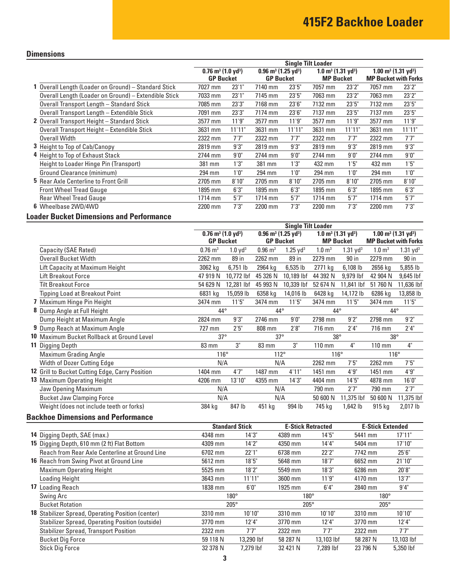### **Dimensions**

|                                                      |                                              |        |                                               |        | <b>Single Tilt Loader</b>                 |        |                                        |        |
|------------------------------------------------------|----------------------------------------------|--------|-----------------------------------------------|--------|-------------------------------------------|--------|----------------------------------------|--------|
|                                                      | $0.76$ m <sup>3</sup> (1.0 yd <sup>3</sup> ) |        | $0.96$ m <sup>3</sup> (1.25 yd <sup>3</sup> ) |        | $1.0 \text{ m}^3$ (1.31 yd <sup>3</sup> ) |        | $1.00 \text{ m}^3 (1.31 \text{ yd}^3)$ |        |
|                                                      | <b>GP Bucket</b>                             |        | <b>GP Bucket</b>                              |        | <b>MP Bucket</b>                          |        | <b>MP Bucket with Forks</b>            |        |
| 1 Overall Length (Loader on Ground) - Standard Stick | 7027 mm                                      | 23'1'' | 7140 mm                                       | 23'5'' | 7057 mm                                   | 23'2"  | 7057 mm                                | 23'2"  |
| Overall Length (Loader on Ground) - Extendible Stick | 7033 mm                                      | 23'1'' | 7145 mm                                       | 23'5'' | 7063 mm                                   | 23'2"  | 7063 mm                                | 23'2"  |
| Overall Transport Length - Standard Stick            | 7085 mm                                      | 23'3'' | 7168 mm                                       | 23'6'' | 7132 mm                                   | 23'5'' | 7132 mm                                | 23'5'' |
| Overall Transport Length - Extendible Stick          | 7091 mm                                      | 23'3"  | 7174 mm                                       | 23'6'' | 7137 mm                                   | 23'5'' | 7137 mm                                | 23'5'' |
| 2 Overall Transport Height - Standard Stick          | 3577 mm                                      | 11'9"  | 3577 mm                                       | 11'9"  | 3577 mm                                   | 11'9'' | 3577 mm                                | 11'9"  |
| Overall Transport Height - Extendible Stick          | 3631 mm                                      | 11'11" | 3631 mm                                       | 11'11" | 3631 mm                                   | 11'11" | 3631 mm                                | 11'11" |
| <b>Overall Width</b>                                 | 2322 mm                                      | 7'7''  | 2322 mm                                       | 7'7''  | 2322 mm                                   | 7'7''  | 2322 mm                                | 7'7''  |
| <b>3</b> Height to Top of Cab/Canopy                 | 2819 mm                                      | 9'3''  | 2819 mm                                       | 9'3"   | 2819 mm                                   | 9'3''  | 2819 mm                                | 9'3''  |
| 4 Height to Top of Exhaust Stack                     | 2744 mm                                      | 9'0''  | 2744 mm                                       | 9'0''  | 2744 mm                                   | 9'0''  | 2744 mm                                | 9'0''  |
| Height to Loader Hinge Pin (Transport)               | 381 mm                                       | 1'3"   | 381 mm                                        | 1'3"   | 432 mm                                    | 1'5"   | 432 mm                                 | 1'5''  |
| Ground Clearance (minimum)                           | 294 mm                                       | 1'0''  | 294 mm                                        | 1'0''  | 294 mm                                    | 1'0''  | 294 mm                                 | 1'0''  |
| <b>5</b> Rear Axle Centerline to Front Grill         | 2705 mm                                      | 8'10"  | 2705 mm                                       | 8'10"  | 2705 mm                                   | 8'10"  | 2705 mm                                | 8'10"  |
| <b>Front Wheel Tread Gauge</b>                       | 1895 mm                                      | 6'3''  | 1895 mm                                       | 6'3''  | 1895 mm                                   | 6'3''  | 1895 mm                                | 6'3''  |
| <b>Rear Wheel Tread Gauge</b>                        | 1714 mm                                      | 5'7''  | $1714$ mm                                     | 5'7''  | $1714$ mm                                 | 5'7''  | $1714$ mm                              | 5'7''  |
| 6 Wheelbase 2WD/4WD                                  | 2200 mm                                      | 7'3''  | 2200 mm                                       | 7'3''  | 2200 mm                                   | 7'3''  | 2200 mm                                | 7'3''  |

### **Loader Bucket Dimensions and Performance**

|                                                 |                                         |                     |                                        | <b>Single Tilt Loader</b> |                                           |                        |                                        |                        |
|-------------------------------------------------|-----------------------------------------|---------------------|----------------------------------------|---------------------------|-------------------------------------------|------------------------|----------------------------------------|------------------------|
|                                                 | $0.76 \text{ m}^3 \ (1.0 \text{ yd}^3)$ |                     | $0.96 \text{ m}^3 (1.25 \text{ yd}^3)$ |                           | $1.0 \text{ m}^3$ (1.31 yd <sup>3</sup> ) |                        | $1.00 \text{ m}^3 (1.31 \text{ yd}^3)$ |                        |
|                                                 |                                         | <b>GP Bucket</b>    | <b>GP Bucket</b>                       |                           | <b>MP Bucket</b>                          |                        | <b>MP Bucket with Forks</b>            |                        |
| Capacity (SAE Rated)                            | $0.76 \; \mathrm{m}^3$                  | 1.0 yd <sup>3</sup> | $0.96 \; \mathrm{m}^3$                 | $1.25 \text{ yd}^3$       | $1.0 \text{ m}^3$                         | $1.31$ yd <sup>3</sup> | 1.0 m <sup>3</sup>                     | $1.31$ yd <sup>3</sup> |
| <b>Overall Bucket Width</b>                     | 2262 mm                                 | 89 in               | 2262 mm                                | 89 in                     | 2279 mm                                   | 90 in                  | 2279 mm                                | 90 in                  |
| Lift Capacity at Maximum Height                 | 3062 kg                                 | $6,751$ lb          | 2964 kg                                | $6,535$ lb                | 2771 kg                                   | 6,108 lb               | 2656 kg                                | 5,855 lb               |
| <b>Lift Breakout Force</b>                      | 47 919 N                                | 10,772 lbf          | 45 326 N                               | 10,189 lbf                | 44 392 N                                  | 9,979 lbf              | 42 904 N                               | 9,645 lbf              |
| <b>Tilt Breakout Force</b>                      | 54 629 N                                | 12,281 lbf          | 45 993 N                               | 10,339 lbf                | 52 674 N                                  | 11,841 lbf             | 51 760 N                               | 11,636 lbf             |
| Tipping Load at Breakout Point                  | 6831 kg                                 | 15,059 lb           | 6358 kg                                | 14,016 lb                 | 6428 kg                                   | 14,172 lb              | 6286 kg                                | 13,858 lb              |
| 7 Maximum Hinge Pin Height                      | 3474 mm                                 | 11'5"               | 3474 mm                                | 11'5"                     | 3474 mm                                   | 11'5"                  | 3474 mm                                | 11'5''                 |
| Dump Angle at Full Height                       | $44^{\circ}$                            |                     | $44^{\circ}$                           |                           | $44^{\circ}$                              |                        | $44^{\circ}$                           |                        |
| Dump Height at Maximum Angle                    | 2824 mm                                 | 9'3''               | 2746 mm                                | 9'0''                     | 2798 mm                                   | 9'2"                   | 2798 mm                                | 9'2"                   |
| <b>9</b> Dump Reach at Maximum Angle            | 727 mm                                  | 2'5''               | 808 mm                                 | 2'8''                     | 716 mm                                    | 2'4''                  | 716 mm                                 | 2'4"                   |
| 10 Maximum Bucket Rollback at Ground Level      | $37^\circ$                              |                     | $37^\circ$                             |                           | $38^\circ$                                |                        | $38^{\circ}$                           |                        |
| <b>11 Digging Depth</b>                         | 83 mm                                   | 3"                  | 83 mm                                  | 3"                        | 110 mm                                    | 4"                     | $110 \text{ mm}$                       | 4"                     |
| <b>Maximum Grading Angle</b>                    | $116^\circ$                             |                     | 112°                                   |                           | 116°                                      |                        | $116^\circ$                            |                        |
| <b>Width of Dozer Cutting Edge</b>              | N/A                                     |                     | N/A                                    |                           | 2262 mm                                   | 7'5''                  | 2262 mm                                | 7'5''                  |
| 12 Grill to Bucket Cutting Edge, Carry Position | 1404 mm                                 | 4'7''               | 1487 mm                                | 4'11"                     | 1451 mm                                   | 4'9''                  | 1451 mm                                | 4'9''                  |
| 13 Maximum Operating Height                     | 4206 mm                                 | 13'10"              | 4355 mm                                | 14'3''                    | 4404 mm                                   | 14'5''                 | 4878 mm                                | 16'0''                 |
| Jaw Opening Maximum                             |                                         | N/A                 | N/A                                    |                           | 790 mm                                    | 2'7''                  | 790 mm                                 | 2'7"                   |
| <b>Bucket Jaw Clamping Force</b>                | N/A                                     |                     | N/A                                    |                           | 50 600 N                                  | 11,375 lbf             | 50 600 N                               | 11,375 lbf             |
| Weight (does not include teeth or forks)        | 384 kg                                  | 847 lb              | 451 kg                                 | 994 lb                    | 745 kg                                    | 1,642 lb               | 915 kg                                 | 2,017 lb               |

### **Backhoe Dimensions and Performance**

|                                                        | <b>Standard Stick</b> |            | <b>E-Stick Retracted</b> |            | <b>E-Stick Extended</b> |            |
|--------------------------------------------------------|-----------------------|------------|--------------------------|------------|-------------------------|------------|
| 14 Digging Depth, SAE (max.)                           | 4348 mm               | 14'3''     | 4389 mm                  | 14'5''     | 5441 mm                 | 17'11"     |
| 15 Digging Depth, 610 mm (2 ft) Flat Bottom            | 4309 mm               | 14'2''     | 4350 mm                  | 14'4"      | 5404 mm                 | 17'10"     |
| Reach from Rear Axle Centerline at Ground Line         | 6702 mm               | 22'1"      | 6738 mm                  | 22'2"      | 7742 mm                 | 25'6''     |
| <b>16</b> Reach from Swing Pivot at Ground Line        | 5612 mm               | 18'5''     | 5648 mm                  | 18'7''     | 6652 mm                 | 21'10"     |
| <b>Maximum Operating Height</b>                        | 5525 mm               | 18'2"      | 5549 mm                  | 18'3''     | 6286 mm                 | 20'8"      |
| Loading Height                                         | 3643 mm               | 11'11"     | 3600 mm                  | 11'9''     | 4170 mm                 | 13'7''     |
| 17 Loading Reach                                       | 1838 mm               | 6'0''      | 1925 mm                  | 6'4''      | 2840 mm                 | 9'4''      |
| Swing Arc                                              | $180^\circ$           |            | $180^\circ$              |            | $180^\circ$             |            |
| <b>Bucket Rotation</b>                                 | $205^\circ$           |            | $205^\circ$              |            | $205^\circ$             |            |
| 18 Stabilizer Spread, Operating Position (center)      | 3310 mm               | 10'10"     | 3310 mm                  | 10'10"     | 3310 mm                 | 10'10"     |
| <b>Stabilizer Spread, Operating Position (outside)</b> | 3770 mm               | 12'4"      | 3770 mm                  | 12'4"      | 3770 mm                 | 12'4''     |
| <b>Stabilizer Spread, Transport Position</b>           | 2322 mm               | 7'7"       | 2322 mm                  | 7'7"       | 2322 mm                 | 7'7"       |
| <b>Bucket Dig Force</b>                                | 59 118 N              | 13,290 lbf | 58 287 N                 | 13,103 lbf | 58 287 N                | 13,103 lbf |
| <b>Stick Dig Force</b>                                 | 32 378 N              | 7.279 lbf  | 32 421 N                 | 7.289 lbf  | 23 796 N                | 5.350 lbf  |
|                                                        |                       |            |                          |            |                         |            |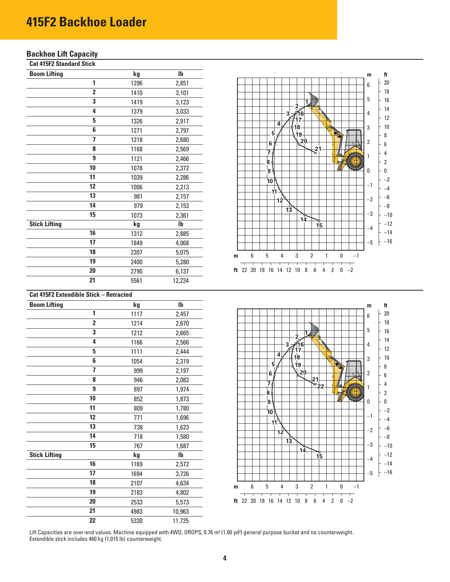# **415F2 Backhoe Loader**

#### **Backhoe Lift Capacity**

**Cat 415F2 Standard Stick** 

| <b>Boom Lifting</b>  |                         | kg   | $\mathbf{I}$ |
|----------------------|-------------------------|------|--------------|
|                      |                         | 1296 | 2,851        |
|                      | $\overline{\mathbf{2}}$ | 1410 | 3,101        |
|                      | 3                       | 1419 | 3,123        |
|                      | 4                       | 1379 | 3,033        |
|                      | 5                       | 1326 | 2,917        |
|                      | 6                       | 1271 | 2,797        |
|                      | 7                       | 1218 | 2,680        |
|                      | 8                       | 1168 | 2,569        |
|                      | 9                       | 1121 | 2,466        |
|                      | 10                      | 1078 | 2,372        |
|                      | 11                      | 1039 | 2,286        |
|                      | 12                      | 1006 | 2,213        |
|                      | 13                      | 981  | 2,157        |
|                      | 14                      | 979  | 2,153        |
|                      | 15                      | 1073 | 2,361        |
| <b>Stick Lifting</b> |                         | kg   | $\mathbf{I}$ |
|                      | 16                      | 1312 | 2,885        |
|                      | 17                      | 1849 | 4,068        |
|                      | 18                      | 2307 | 5,075        |
|                      | 19                      | 2400 | 5,280        |
|                      | 20                      | 2790 | 6,137        |
|                      | 21                      | 5561 | 12,234       |



#### **Cat 415F2 Extendible Stick – Retracted**

| <b>Boom Lifting</b>  |                  | kg   | $\mathsf{I} \mathsf{b}$ |
|----------------------|------------------|------|-------------------------|
|                      | 1                | 1117 | 2,457                   |
|                      | $\overline{2}$   | 1214 | 2,670                   |
|                      | 3                | 1212 | 2,665                   |
|                      | 4                | 1166 | 2,566                   |
|                      | 5                | 1111 | 2,444                   |
|                      | 6                | 1054 | 2,319                   |
|                      | 7                | 999  | 2,197                   |
|                      | 8                | 946  | 2,082                   |
|                      | $\boldsymbol{9}$ | 897  | 1,974                   |
|                      | 10               | 852  | 1,873                   |
|                      | 11               | 809  | 1,780                   |
|                      | 12               | 771  | 1,696                   |
|                      | 13               | 738  | 1,623                   |
|                      | 14               | 718  | 1,580                   |
|                      | 15               | 767  | 1,687                   |
| <b>Stick Lifting</b> |                  | kg   | $\mathbf{I}$            |
|                      | 16               | 1169 | 2,572                   |
|                      | 17               | 1694 | 3,726                   |
|                      | 18               | 2107 | 4,634                   |
|                      | 19               | 2183 | 4,802                   |
|                      | $\overline{20}$  | 2533 | 5,573                   |
|                      | 21               | 4983 | 10,963                  |
|                      | 22               | 5330 | 11,725                  |



Lift Capacities are over-end values. Machine equipped with 4WD, OROPS, 0.76 m<sup>3</sup> (1.00 yd<sup>3</sup>) general purpose bucket and no counterweight. Extendible stick includes 460 kg (1,015 lb) counterweight.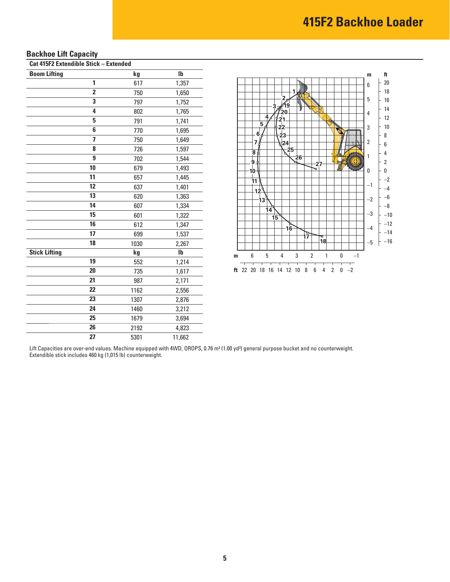# **Backhoe Lift Capacity**

**Cat 415F2 Extendible Stick – Extended** 

| <b>Boom Lifting</b>     | kg   | Ib     |
|-------------------------|------|--------|
| 1                       | 617  | 1,357  |
| $\overline{2}$          | 750  | 1,650  |
| 3                       | 797  | 1,752  |
| 4                       | 802  | 1,765  |
| 5                       | 791  | 1,741  |
| 6                       | 770  | 1,695  |
| $\overline{\mathbf{z}}$ | 750  | 1,649  |
| 8                       | 726  | 1,597  |
| 9                       | 702  | 1,544  |
| 10                      | 679  | 1,493  |
| 11                      | 657  | 1,445  |
| 12                      | 637  | 1,401  |
| 13                      | 620  | 1,363  |
| 14                      | 607  | 1,334  |
| 15                      | 601  | 1,322  |
| 16                      | 612  | 1,347  |
| 17                      | 699  | 1,537  |
| 18                      | 1030 | 2,267  |
| <b>Stick Lifting</b>    | kg   | lb     |
| 19                      | 552  | 1,214  |
| 20                      | 735  | 1,617  |
| 21                      | 987  | 2,171  |
| 22                      | 1162 | 2,556  |
| 23                      | 1307 | 2,876  |
| 24                      | 1460 | 3,212  |
| 25                      | 1679 | 3,694  |
| $\overline{26}$         | 2192 | 4,823  |
| 27                      | 5301 | 11,662 |



Lift Capacities are over-end values. Machine equipped with 4WD, OROPS, 0.76 m<sup>3</sup> (1.00 yd<sup>3</sup>) general purpose bucket and no counterweight. Extendible stick includes 460 kg (1,015 lb) counterweight.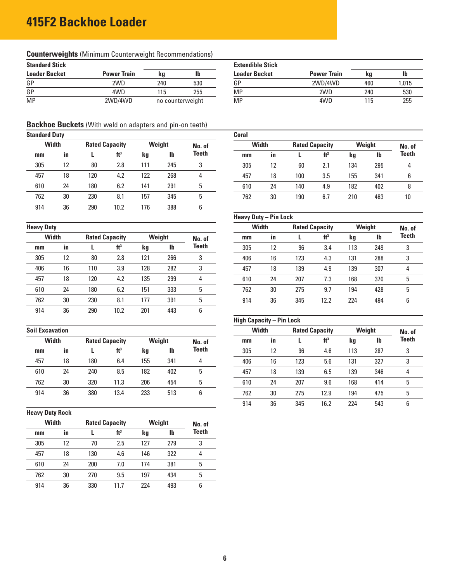# **415F2 Backhoe Loader**

# **Counterweights** (Minimum Counterweight Recommendations)

| <b>Standard Stick</b> |                    |     |                  | <b>Extendible Stick</b> |                    |     |      |
|-----------------------|--------------------|-----|------------------|-------------------------|--------------------|-----|------|
| <b>Loader Bucket</b>  | <b>Power Train</b> | ka  | Ib               | <b>Loader Bucket</b>    | <b>Power Train</b> | ka  |      |
| GP                    | 2WD                | 240 | 530              | GP                      | 2WD/4WD            | 460 | ,015 |
| GP                    | 4WD                | 15  | 255              | ΜP                      | 2WD                | 240 | 530  |
| <b>MP</b>             | 2WD/4WD            |     | no counterweight | MP                      | 4WD                | 115 | 255  |

#### **Backhoe Buckets** (With weld on adapters and pin-on teeth)

| <b>Standard Duty</b> |    |                       |                 |        |     |        | Coral |              |     |                                 |     |              |      |
|----------------------|----|-----------------------|-----------------|--------|-----|--------|-------|--------------|-----|---------------------------------|-----|--------------|------|
| <b>Width</b>         |    | <b>Rated Capacity</b> |                 | Weight |     | No. of |       | <b>Width</b> |     | Weight<br><b>Rated Capacity</b> |     |              | No.  |
| mm                   | in |                       | ft <sup>3</sup> | kg     | Ib  | Teeth  | mm    | in           |     | ft <sup>3</sup>                 | kg  | $\mathbf{I}$ | Teet |
| 305                  | 12 | 80                    | 2.8             | 111    | 245 | 3      | 305   | 12           | 60  | 2.1                             | 134 | 295          | 4    |
| 457                  | 18 | 120                   | 4.2             | 122    | 268 | 4      | 457   | 18           | 100 | 3.5                             | 155 | 341          | 6    |
| 610                  | 24 | 180                   | 6.2             | 141    | 291 | 5      | 610   | 24           | 140 | 4.9                             | 182 | 402          | 8    |
| 762                  | 30 | 230                   | 8.1             | 157    | 345 | 5      | 762   | 30           | 190 | 6.7                             | 210 | 463          | 10   |
| 914                  | 36 | 290                   | 10.2            | 176    | 388 | 6      |       |              |     |                                 |     |              |      |
|                      |    |                       |                 |        |     |        |       |              |     |                                 |     |              |      |

| <b>Heavy Duty</b> |    |     |                       |     |           |        | Width |    |     | <b>Rated Capacity</b> | Weight |     | No. |
|-------------------|----|-----|-----------------------|-----|-----------|--------|-------|----|-----|-----------------------|--------|-----|-----|
| <b>Width</b>      |    |     | <b>Rated Capacity</b> |     | Weight    | No. of | mm    | in |     | ft <sup>3</sup>       | kg     | lb  | Tee |
| mm                | in |     | ft <sup>3</sup>       | kg  | <b>Ib</b> | Teeth  | 305   | 12 | 96  | 3.4                   | 113    | 249 | 3   |
| 305               | 12 | 80  | 2.8                   | 121 | 266       | 3      | 406   | 16 | 123 | 4.3                   | 131    | 288 | 3   |
| 406               | 16 | 110 | 3.9                   | 128 | 282       | 3      | 457   | 18 | 139 | 4.9                   | 139    | 307 | 4   |
| 457               | 18 | 120 | 4.2                   | 135 | 299       | 4      | 610   | 24 | 207 | 7.3                   | 168    | 370 | 5   |
| 610               | 24 | 180 | 6.2                   | 151 | 333       | 5      | 762   | 30 | 275 | 9.7                   | 194    | 428 | 5   |
| 762               | 30 | 230 | 8.1                   | 177 | 391       | 5      | 914   | 36 | 345 | 12.2                  | 224    | 494 | 6   |
| 914               | 36 | 290 | 10.2                  | 201 | 443       | 6      |       |    |     |                       |        |     |     |

| <b>Width</b> |           |     | <b>Rated Capacity</b> |     | Weight | No. of       |  | $mm$ | in |     | ft <sup>3</sup> | kg  | <b>Ib</b> | Tee     |
|--------------|-----------|-----|-----------------------|-----|--------|--------------|--|------|----|-----|-----------------|-----|-----------|---------|
| mm           | <b>in</b> |     | ft <sup>3</sup>       | kg  | lb     | <b>Teeth</b> |  | 305  | 12 | 96  | 4.6             | 113 | 287       | ີ<br>ັບ |
| 457          | 18        | 180 | 6.4                   | 155 | 341    |              |  | 406  | 16 | 123 | 5.6             | 131 | 327       | o<br>J  |
| 610          | 24        | 240 | 8.5                   | 182 | 402    |              |  | 457  | 18 | 139 | 6.5             | 139 | 346       | 4       |
| 762          | 30        | 320 | 11.3                  | 206 | 454    |              |  | 610  | 24 | 207 | 9.6             | 168 | 414       |         |
| 914          | 36        | 380 | 13.4                  | 233 | 513    |              |  | 762  | 30 | 275 | 12.9            | 194 | 475       | ხ       |

#### **Heavy Duty Rock**

| Width |    |     | <b>Rated Capacity</b> |     | Weight | No. of       |  |  |
|-------|----|-----|-----------------------|-----|--------|--------------|--|--|
| mm    | in |     | ft <sup>3</sup>       | kq  | lb     | <b>Teeth</b> |  |  |
| 305   | 12 | 70  | 2.5                   | 127 | 279    | 3            |  |  |
| 457   | 18 | 130 | 4.6                   | 146 | 322    | 4            |  |  |
| 610   | 24 | 200 | 7.0                   | 174 | 381    | 5            |  |  |
| 762   | 30 | 270 | 9.5                   | 197 | 434    | 5            |  |  |
| 914   | 36 | 330 | 11.7                  | 224 | 493    | 6            |  |  |

| ndard Duty   |     |     |                       |      |        |              | Coral |              |     |                       |     |              |              |
|--------------|-----|-----|-----------------------|------|--------|--------------|-------|--------------|-----|-----------------------|-----|--------------|--------------|
| <b>Width</b> |     |     | <b>Rated Capacity</b> |      | Weight | No. of       |       | <b>Width</b> |     | <b>Rated Capacity</b> |     | Weight       |              |
| mm           | -in |     | ft <sup>3</sup>       | kg   | Ib     | <b>Teeth</b> | $mm$  | -in          |     | ft <sup>3</sup>       | kg  | $\mathbf{I}$ | <b>Teeth</b> |
| 305          |     | 80  | 2.8                   | l 11 | 245    |              | 305   | 12           | 60  | 2.1                   | 134 | 295          |              |
| 457          | 18  | 120 | 4.2                   | 122  | 268    | Д            | 457   | 18           | 100 | 3.5                   | 155 | 341          | b            |
| 610          | 24  | 180 | 6.2                   | 141  | 291    |              | 610   | 24           | 140 | 4.9                   | 182 | 402          |              |
| 762          | 30  | 230 | 8.1                   | 157  | 345    |              | 762   | 30           | 190 | 67                    | 210 | 463          | 10           |

#### **Heavy Duty – Pin Lock**

| <b>Heavy Duty</b> |           |                       |                 |        |     |        |     | <b>Width</b> |     | <b>Rated Capacity</b> |     | Weight       |       |
|-------------------|-----------|-----------------------|-----------------|--------|-----|--------|-----|--------------|-----|-----------------------|-----|--------------|-------|
| <b>Width</b>      |           | <b>Rated Capacity</b> |                 | Weight |     | No. of | mm  | -in          |     | ft <sup>3</sup>       | kg  | $\mathbf{I}$ | Teeth |
| mm                | <b>in</b> |                       | ft <sup>3</sup> | kg     | lb  | Teeth  | 305 | 12           | 96  | 3.4                   | 113 | 249          | 3     |
| 305               | 12        | 80                    | 2.8             | 121    | 266 | 3      | 406 | 16           | 123 | 4.3                   | 131 | 288          | 3     |
| 406               | 16        | 110                   | 3.9             | 128    | 282 | 3      | 457 | 18           | 139 | 4.9                   | 139 | 307          | 4     |
| 457               | 18        | 120                   | 4.2             | 135    | 299 |        | 610 | 24           | 207 | 7.3                   | 168 | 370          | 5     |
| 610               | 24        | 180                   | 6.2             | 151    | 333 | 5      | 762 | 30           | 275 | 9.7                   | 194 | 428          | 5     |
| 762               | 30        | 230                   | 8.1             | 177    | 391 |        | 914 | 36           | 345 | 12.2                  | 224 | 494          | 6     |

# **High Capacity – Pin Lock**

| <b>Soil Excavation</b> |    |     |                       |        |              |        |  | Width |    | <b>Rated Capacity</b> |                 | Weight |              | No. of       |
|------------------------|----|-----|-----------------------|--------|--------------|--------|--|-------|----|-----------------------|-----------------|--------|--------------|--------------|
| <b>Width</b>           |    |     | <b>Rated Capacity</b> | Weight |              | No. of |  | mm    | in |                       | ft <sup>3</sup> | kg     | $\mathbf{I}$ | <b>Teeth</b> |
| mm                     | in |     | ft <sup>3</sup>       | kg     | $\mathbf{I}$ | Teeth  |  | 305   | 12 | 96                    | 4.6             | 113    | 287          | 3            |
| 457                    | 18 | 180 | 6.4                   | 155    | 341          |        |  | 406   | 16 | 123                   | 5.6             | 131    | 327          | 3            |
| 610                    | 24 | 240 | 8.5                   | 182    | 402          | 5      |  | 457   | 18 | 139                   | 6.5             | 139    | 346          | 4            |
| 762                    | 30 | 320 | 11.3                  | 206    | 454          | 5      |  | 610   | 24 | 207                   | 9.6             | 168    | 414          | 5            |
| 914                    | 36 | 380 | 13.4                  | 233    | 513          | 6      |  | 762   | 30 | 275                   | 12.9            | 194    | 475          | 5            |
|                        |    |     |                       |        |              |        |  | 914   | 36 | 345                   | 16.2            | 224    | 543          | 6            |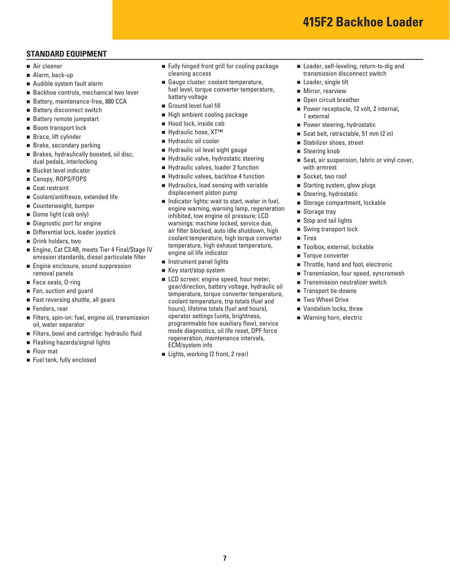### **STANDARD EQUIPMENT**

- Air cleaner
- Alarm, back-up
- Audible system fault alarm
- Backhoe controls, mechanical two lever
- Battery, maintenance-free, 880 CCA
- Battery disconnect switch
- Battery remote jumpstart
- Boom transport lock
- Brace, lift cylinder
- Brake, secondary parking
- Brakes, hydraulically boosted, oil disc, dual pedals, interlocking
- Bucket level indicator
- Canopy, ROPS/FOPS
- Coat restraint
- Coolant/antifreeze, extended life
- Counterweight, bumper
- Dome light (cab only)
- Diagnostic port for engine
- Differential lock, loader joystick
- Drink holders, two
- Engine, Cat C3.4B, meets Tier 4 Final/Stage IV emission standards, diesel particulate filter
- **Engine enclosure, sound suppression** removal panels
- Face seals, 0-ring
- Fan, suction and guard
- Fast reversing shuttle, all gears
- Fenders, rear
- Filters, spin-on: fuel, engine oil, transmission oil, water separator
- Filters, bowl and cartridge: hydraulic fluid
- **Flashing hazards/signal lights**
- Floor mat
- Fuel tank, fully enclosed
- **Fully hinged front grill for cooling package** cleaning access
- Gauge cluster: coolant temperature, fuel level, torque converter temperature, battery voltage
- Ground level fuel fill
- High ambient cooling package
- Hood lock, inside cab
- Hydraulic hose, XT<sup>™</sup>
- Hydraulic oil cooler
- Hydraulic oil level sight gauge
- Hydraulic valve, hydrostatic steering
- Hydraulic valves, loader 2 function
- Hydraulic valves, backhoe 4 function
- Hydraulics, load sensing with variable displacement piston pump
- Indicator lights: wait to start, water in fuel, engine warning, warning lamp, regeneration inhibited, low engine oil pressure; LCD warnings: machine locked, service due, air filter blocked, auto idle shutdown, high coolant temperature, high torque converter temperature, high exhaust temperature, engine oil life indicator
- **Instrument panel lights**
- Key start/stop system
- **LCD** screen: engine speed, hour meter, gear/direction, battery voltage, hydraulic oil temperature, torque converter temperature, coolant temperature, trip totals (fuel and hours), lifetime totals (fuel and hours), operator settings (units, brightness, programmable hoe auxiliary flow), service mode diagnostics, oil life reset, DPF force regeneration, maintenance intervals, ECM/system info
- Lights, working (2 front, 2 rear)
- Loader, self-leveling, return-to-dig and transmission disconnect switch
- Loader, single tilt
- **Mirror, rearview** Open circuit breather
- Power receptacle, 12 volt, 2 internal, 1 external
- **Power steering, hydrostatic**
- Seat belt, retractable, 51 mm (2 in)
- Stabilizer shoes, street
- Steering knob
- Seat, air suspension, fabric or vinyl cover, with armrest
- Socket, two roof
- Starting system, glow plugs
- Steering, hydrostatic
- Storage compartment, lockable
- Storage trav
- Stop and tail lights
- Swing transport lock
- **Tires**
- Toolbox, external, lockable
- Torque converter
- Throttle, hand and foot, electronic
- Transmission, four speed, syncromesh
- Transmission neutralizer switch
- Transport tie-downs
- Two Wheel Drive
- Vandalism locks, three
- Warning horn, electric